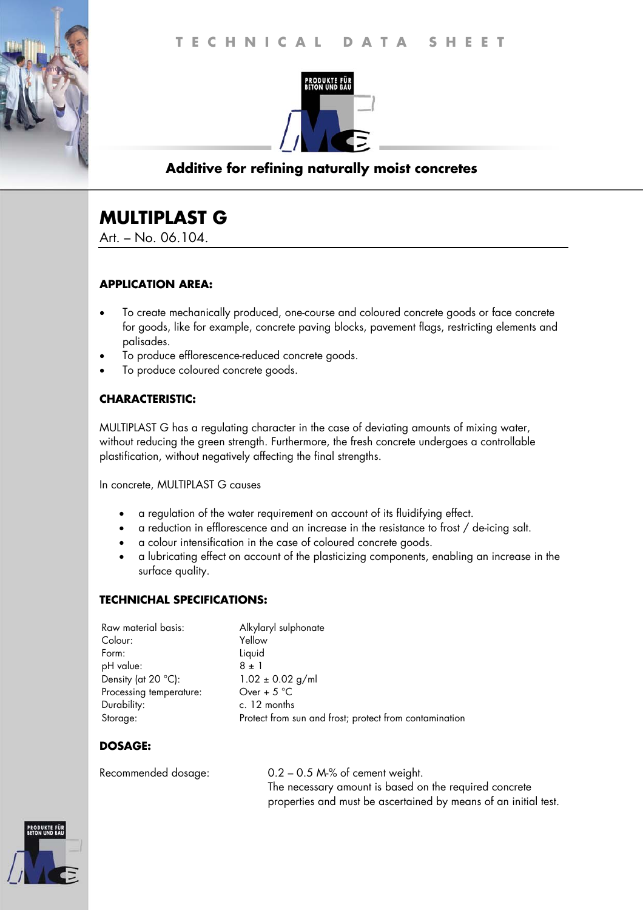

## **Additive for refining naturally moist concretes**

# **MULTIPLAST G**

Art. – No. 06.104.

### **APPLICATION AREA:**

- To create mechanically produced, one-course and coloured concrete goods or face concrete for goods, like for example, concrete paving blocks, pavement flags, restricting elements and palisades.
- To produce efflorescence-reduced concrete goods.
- To produce coloured concrete goods.

## **CHARACTERISTIC:**

MULTIPLAST G has a regulating character in the case of deviating amounts of mixing water, without reducing the green strength. Furthermore, the fresh concrete undergoes a controllable plastification, without negatively affecting the final strengths.

In concrete, MULTIPLAST G causes

- a regulation of the water requirement on account of its fluidifying effect.
- a reduction in efflorescence and an increase in the resistance to frost / de-icing salt.
- a colour intensification in the case of coloured concrete goods.
- a lubricating effect on account of the plasticizing components, enabling an increase in the surface quality.

#### **TECHNICHAL SPECIFICATIONS:**

| Raw material basis:     | Alkylaryl sulphonate                                   |
|-------------------------|--------------------------------------------------------|
| Colour:                 | Yellow                                                 |
| Form:                   | Liquid                                                 |
| pH value:               | $8 \pm 1$                                              |
| Density (at 20 °C):     | $1.02 \pm 0.02$ g/ml                                   |
| Processing temperature: | Over + $5^{\circ}$ C                                   |
| Durability:             | c. 12 months                                           |
| Storage:                | Protect from sun and frost; protect from contamination |

## **DOSAGE:**

Recommended dosage: 0.2 – 0.5 M-% of cement weight. The necessary amount is based on the required concrete properties and must be ascertained by means of an initial test.